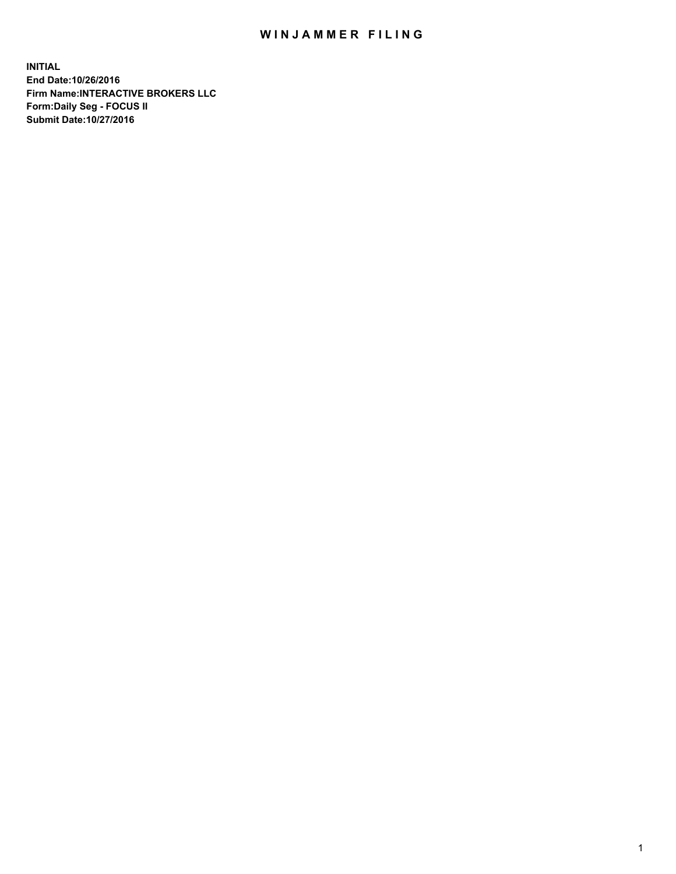## WIN JAMMER FILING

**INITIAL End Date:10/26/2016 Firm Name:INTERACTIVE BROKERS LLC Form:Daily Seg - FOCUS II Submit Date:10/27/2016**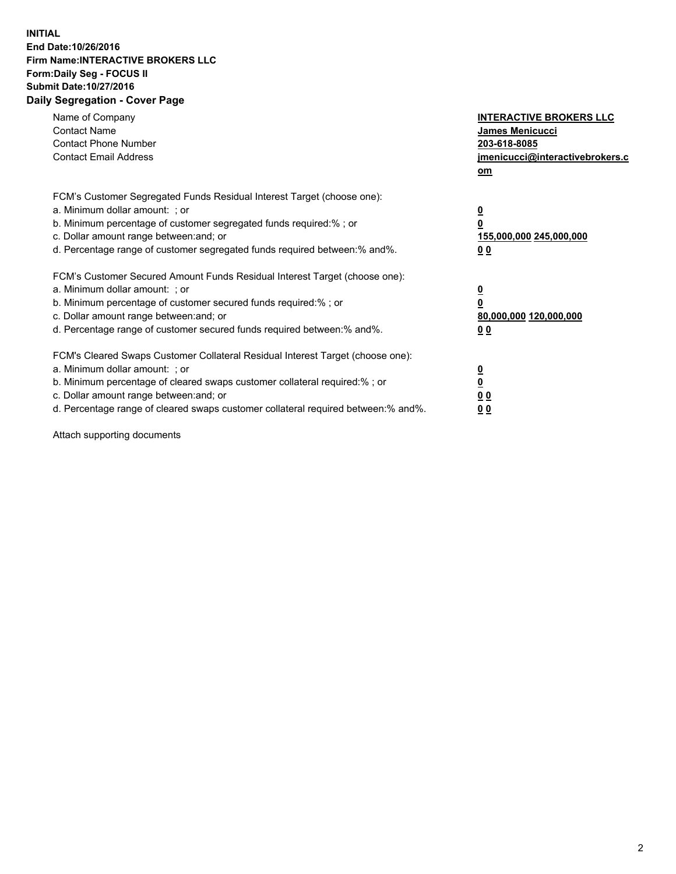## **INITIAL End Date:10/26/2016 Firm Name:INTERACTIVE BROKERS LLC Form:Daily Seg - FOCUS II Submit Date:10/27/2016 Daily Segregation - Cover Page**

| Name of Company<br><b>Contact Name</b><br><b>Contact Phone Number</b><br><b>Contact Email Address</b>                                                                                                                                                                                                                          | <b>INTERACTIVE BROKERS LLC</b><br>James Menicucci<br>203-618-8085<br><u>jmenicucci@interactivebrokers.c</u><br>om |
|--------------------------------------------------------------------------------------------------------------------------------------------------------------------------------------------------------------------------------------------------------------------------------------------------------------------------------|-------------------------------------------------------------------------------------------------------------------|
| FCM's Customer Segregated Funds Residual Interest Target (choose one):<br>a. Minimum dollar amount: ; or<br>b. Minimum percentage of customer segregated funds required:%; or<br>c. Dollar amount range between: and; or<br>d. Percentage range of customer segregated funds required between:% and%.                          | $\overline{\mathbf{0}}$<br>0<br>155,000,000 245,000,000<br>0 <sub>0</sub>                                         |
| FCM's Customer Secured Amount Funds Residual Interest Target (choose one):<br>a. Minimum dollar amount: ; or<br>b. Minimum percentage of customer secured funds required:%; or<br>c. Dollar amount range between: and; or<br>d. Percentage range of customer secured funds required between:% and%.                            | $\overline{\mathbf{0}}$<br>$\overline{\mathbf{0}}$<br>80,000,000 120,000,000<br>00                                |
| FCM's Cleared Swaps Customer Collateral Residual Interest Target (choose one):<br>a. Minimum dollar amount: ; or<br>b. Minimum percentage of cleared swaps customer collateral required:% ; or<br>c. Dollar amount range between: and; or<br>d. Percentage range of cleared swaps customer collateral required between:% and%. | $\overline{\mathbf{0}}$<br>$\overline{\mathbf{0}}$<br>0 <sub>0</sub><br><u>00</u>                                 |

Attach supporting documents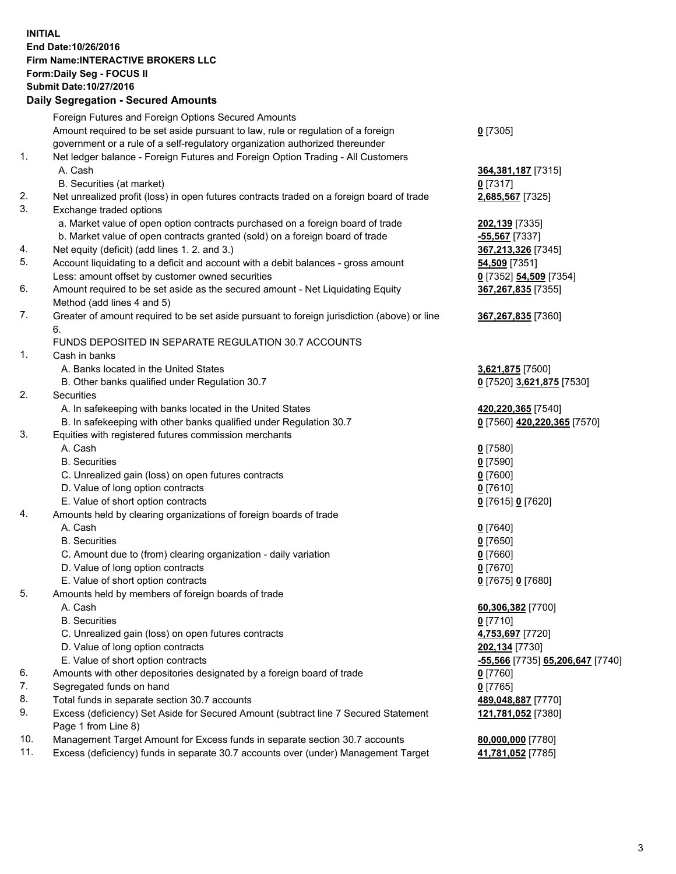## **INITIAL End Date:10/26/2016 Firm Name:INTERACTIVE BROKERS LLC Form:Daily Seg - FOCUS II Submit Date:10/27/2016 Daily Segregation - Secured Amounts**

|     | Daily Jegregation - Jeculed Aniounts                                                        |                                  |
|-----|---------------------------------------------------------------------------------------------|----------------------------------|
|     | Foreign Futures and Foreign Options Secured Amounts                                         |                                  |
|     | Amount required to be set aside pursuant to law, rule or regulation of a foreign            | $0$ [7305]                       |
|     | government or a rule of a self-regulatory organization authorized thereunder                |                                  |
| 1.  | Net ledger balance - Foreign Futures and Foreign Option Trading - All Customers             |                                  |
|     | A. Cash                                                                                     | 364, 381, 187 [7315]             |
|     | B. Securities (at market)                                                                   | 0 [7317]                         |
| 2.  | Net unrealized profit (loss) in open futures contracts traded on a foreign board of trade   | 2,685,567 [7325]                 |
| 3.  | Exchange traded options                                                                     |                                  |
|     | a. Market value of open option contracts purchased on a foreign board of trade              | 202,139 [7335]                   |
|     | b. Market value of open contracts granted (sold) on a foreign board of trade                | -55,567 [7337]                   |
| 4.  | Net equity (deficit) (add lines 1. 2. and 3.)                                               | 367,213,326 [7345]               |
| 5.  | Account liquidating to a deficit and account with a debit balances - gross amount           | 54,509 [7351]                    |
|     | Less: amount offset by customer owned securities                                            | 0 [7352] 54,509 [7354]           |
| 6.  | Amount required to be set aside as the secured amount - Net Liquidating Equity              | 367,267,835 [7355]               |
|     | Method (add lines 4 and 5)                                                                  |                                  |
| 7.  | Greater of amount required to be set aside pursuant to foreign jurisdiction (above) or line | 367,267,835 [7360]               |
|     | 6.                                                                                          |                                  |
|     | FUNDS DEPOSITED IN SEPARATE REGULATION 30.7 ACCOUNTS                                        |                                  |
| 1.  | Cash in banks                                                                               |                                  |
|     | A. Banks located in the United States                                                       | 3,621,875 [7500]                 |
|     | B. Other banks qualified under Regulation 30.7                                              | 0 [7520] 3,621,875 [7530]        |
| 2.  | Securities                                                                                  |                                  |
|     | A. In safekeeping with banks located in the United States                                   | 420,220,365 [7540]               |
|     | B. In safekeeping with other banks qualified under Regulation 30.7                          | 0 [7560] 420,220,365 [7570]      |
| 3.  | Equities with registered futures commission merchants                                       |                                  |
|     | A. Cash                                                                                     | $0$ [7580]                       |
|     | <b>B.</b> Securities                                                                        | $0$ [7590]                       |
|     | C. Unrealized gain (loss) on open futures contracts                                         | $0$ [7600]                       |
|     | D. Value of long option contracts                                                           | $0$ [7610]                       |
|     | E. Value of short option contracts                                                          | 0 [7615] 0 [7620]                |
| 4.  | Amounts held by clearing organizations of foreign boards of trade                           |                                  |
|     | A. Cash                                                                                     | $0$ [7640]                       |
|     | <b>B.</b> Securities                                                                        | $0$ [7650]                       |
|     | C. Amount due to (from) clearing organization - daily variation                             | $0$ [7660]                       |
|     | D. Value of long option contracts                                                           | $0$ [7670]                       |
|     | E. Value of short option contracts                                                          | 0 [7675] 0 [7680]                |
| 5.  | Amounts held by members of foreign boards of trade                                          |                                  |
|     | A. Cash                                                                                     | 60,306,382 [7700]                |
|     | <b>B.</b> Securities                                                                        | $0$ [7710]                       |
|     | C. Unrealized gain (loss) on open futures contracts                                         | 4,753,697 [7720]                 |
|     | D. Value of long option contracts                                                           | 202,134 [7730]                   |
|     | E. Value of short option contracts                                                          | -55,566 [7735] 65,206,647 [7740] |
| 6.  | Amounts with other depositories designated by a foreign board of trade                      | 0 [7760]                         |
| 7.  | Segregated funds on hand                                                                    | $0$ [7765]                       |
| 8.  | Total funds in separate section 30.7 accounts                                               | 489,048,887 [7770]               |
| 9.  | Excess (deficiency) Set Aside for Secured Amount (subtract line 7 Secured Statement         | 121,781,052 [7380]               |
|     | Page 1 from Line 8)                                                                         |                                  |
| 10. | Management Target Amount for Excess funds in separate section 30.7 accounts                 | 80,000,000 [7780]                |
| 11. | Excess (deficiency) funds in separate 30.7 accounts over (under) Management Target          | 41,781,052 [7785]                |
|     |                                                                                             |                                  |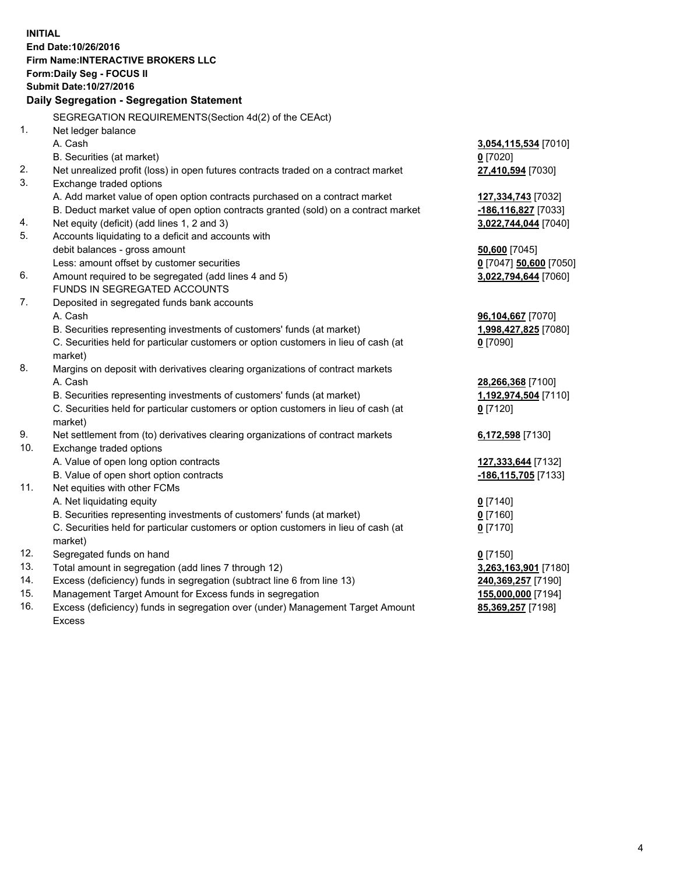**INITIAL End Date:10/26/2016 Firm Name:INTERACTIVE BROKERS LLC Form:Daily Seg - FOCUS II Submit Date:10/27/2016 Daily Segregation - Segregation Statement** SEGREGATION REQUIREMENTS(Section 4d(2) of the CEAct) 1. Net ledger balance A. Cash **3,054,115,534** [7010] B. Securities (at market) **0** [7020] 2. Net unrealized profit (loss) in open futures contracts traded on a contract market **27,410,594** [7030] 3. Exchange traded options A. Add market value of open option contracts purchased on a contract market **127,334,743** [7032] B. Deduct market value of open option contracts granted (sold) on a contract market **-186,116,827** [7033] 4. Net equity (deficit) (add lines 1, 2 and 3) **3,022,744,044** [7040] 5. Accounts liquidating to a deficit and accounts with debit balances - gross amount **50,600** [7045] Less: amount offset by customer securities **0** [7047] **50,600** [7050] 6. Amount required to be segregated (add lines 4 and 5) **3,022,794,644** [7060] FUNDS IN SEGREGATED ACCOUNTS 7. Deposited in segregated funds bank accounts A. Cash **96,104,667** [7070] B. Securities representing investments of customers' funds (at market) **1,998,427,825** [7080] C. Securities held for particular customers or option customers in lieu of cash (at market) **0** [7090] 8. Margins on deposit with derivatives clearing organizations of contract markets A. Cash **28,266,368** [7100] B. Securities representing investments of customers' funds (at market) **1,192,974,504** [7110] C. Securities held for particular customers or option customers in lieu of cash (at market) **0** [7120] 9. Net settlement from (to) derivatives clearing organizations of contract markets **6,172,598** [7130] 10. Exchange traded options A. Value of open long option contracts **127,333,644** [7132] B. Value of open short option contracts **-186,115,705** [7133] 11. Net equities with other FCMs A. Net liquidating equity **0** [7140] B. Securities representing investments of customers' funds (at market) **0** [7160] C. Securities held for particular customers or option customers in lieu of cash (at market) **0** [7170] 12. Segregated funds on hand **0** [7150] 13. Total amount in segregation (add lines 7 through 12) **3,263,163,901** [7180] 14. Excess (deficiency) funds in segregation (subtract line 6 from line 13) **240,369,257** [7190] 15. Management Target Amount for Excess funds in segregation **155,000,000** [7194]

16. Excess (deficiency) funds in segregation over (under) Management Target Amount Excess

**85,369,257** [7198]